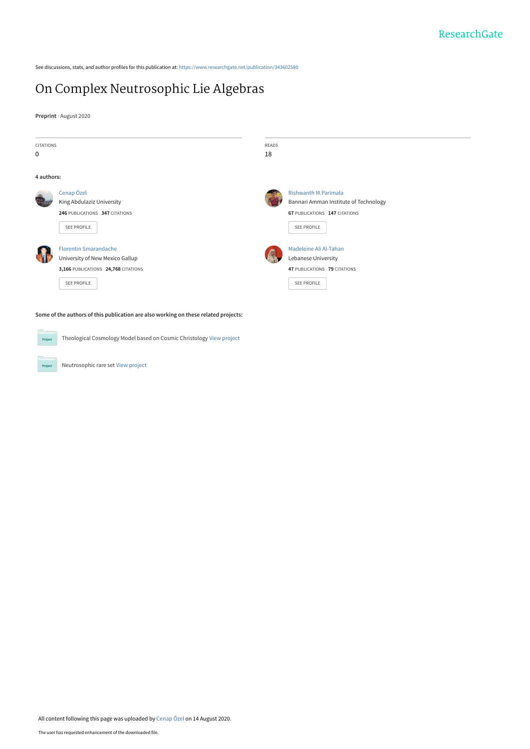See discussions, stats, and author profiles for this publication at: [https://www.researchgate.net/publication/343602580](https://www.researchgate.net/publication/343602580_On_Complex_Neutrosophic_Lie_Algebras?enrichId=rgreq-b827bc39de649599b225a63b82af0c80-XXX&enrichSource=Y292ZXJQYWdlOzM0MzYwMjU4MDtBUzo5MjQzOTkwNjY3MDE4MjdAMTU5NzQwNTMyMDc5OA%3D%3D&el=1_x_2&_esc=publicationCoverPdf)

## [On Complex Neutrosophic Lie Algebras](https://www.researchgate.net/publication/343602580_On_Complex_Neutrosophic_Lie_Algebras?enrichId=rgreq-b827bc39de649599b225a63b82af0c80-XXX&enrichSource=Y292ZXJQYWdlOzM0MzYwMjU4MDtBUzo5MjQzOTkwNjY3MDE4MjdAMTU5NzQwNTMyMDc5OA%3D%3D&el=1_x_3&_esc=publicationCoverPdf)

**Preprint** · August 2020

| <b>CITATIONS</b>                                                                    |                                                                                                                       | <b>READS</b> |                                                                                                                             |
|-------------------------------------------------------------------------------------|-----------------------------------------------------------------------------------------------------------------------|--------------|-----------------------------------------------------------------------------------------------------------------------------|
| 0                                                                                   |                                                                                                                       | 18           |                                                                                                                             |
| 4 authors:                                                                          |                                                                                                                       |              |                                                                                                                             |
|                                                                                     | Cenap Özel<br>King Abdulaziz University<br>246 PUBLICATIONS 347 CITATIONS<br>SEE PROFILE                              |              | <b>Rishwanth M.Parimala</b><br>Bannari Amman Institute of Technology<br>67 PUBLICATIONS 147 CITATIONS<br><b>SEE PROFILE</b> |
|                                                                                     | <b>Florentin Smarandache</b><br>University of New Mexico Gallup<br>3,166 PUBLICATIONS 24,768 CITATIONS<br>SEE PROFILE |              | Madeleine Ali Al-Tahan<br>Lebanese University<br>47 PUBLICATIONS 79 CITATIONS<br><b>SEE PROFILE</b>                         |
| Some of the authors of this publication are also working on these related projects: |                                                                                                                       |              |                                                                                                                             |

Theological Cosmology Model based on Cosmic Christology [View project](https://www.researchgate.net/project/Theological-Cosmology-Model-based-on-Cosmic-Christology?enrichId=rgreq-b827bc39de649599b225a63b82af0c80-XXX&enrichSource=Y292ZXJQYWdlOzM0MzYwMjU4MDtBUzo5MjQzOTkwNjY3MDE4MjdAMTU5NzQwNTMyMDc5OA%3D%3D&el=1_x_9&_esc=publicationCoverPdf) Project

Neutrosophic rare set [View project](https://www.researchgate.net/project/Neutrosophic-rare-set?enrichId=rgreq-b827bc39de649599b225a63b82af0c80-XXX&enrichSource=Y292ZXJQYWdlOzM0MzYwMjU4MDtBUzo5MjQzOTkwNjY3MDE4MjdAMTU5NzQwNTMyMDc5OA%3D%3D&el=1_x_9&_esc=publicationCoverPdf) Project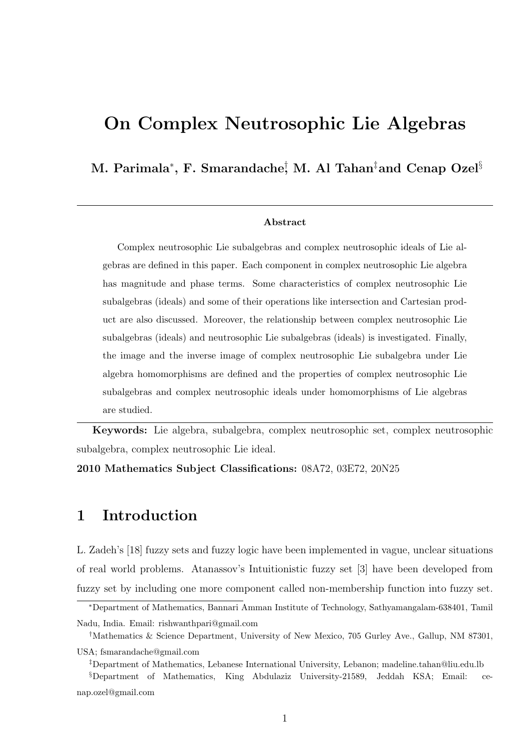# On Complex Neutrosophic Lie Algebras

#### M. Parimala $^*$ , F. Smarandache $_2^\dagger$  M. Al Tahan $^\ddagger$ and Cenap Ozel $^\S$

#### Abstract

Complex neutrosophic Lie subalgebras and complex neutrosophic ideals of Lie algebras are defined in this paper. Each component in complex neutrosophic Lie algebra has magnitude and phase terms. Some characteristics of complex neutrosophic Lie subalgebras (ideals) and some of their operations like intersection and Cartesian product are also discussed. Moreover, the relationship between complex neutrosophic Lie subalgebras (ideals) and neutrosophic Lie subalgebras (ideals) is investigated. Finally, the image and the inverse image of complex neutrosophic Lie subalgebra under Lie algebra homomorphisms are defined and the properties of complex neutrosophic Lie subalgebras and complex neutrosophic ideals under homomorphisms of Lie algebras are studied.

Keywords: Lie algebra, subalgebra, complex neutrosophic set, complex neutrosophic subalgebra, complex neutrosophic Lie ideal.

2010 Mathematics Subject Classifications: 08A72, 03E72, 20N25

### 1 Introduction

L. Zadeh's [18] fuzzy sets and fuzzy logic have been implemented in vague, unclear situations of real world problems. Atanassov's Intuitionistic fuzzy set [3] have been developed from fuzzy set by including one more component called non-membership function into fuzzy set.

<sup>∗</sup>Department of Mathematics, Bannari Amman Institute of Technology, Sathyamangalam-638401, Tamil Nadu, India. Email: rishwanthpari@gmail.com

<sup>†</sup>Mathematics & Science Department, University of New Mexico, 705 Gurley Ave., Gallup, NM 87301, USA; fsmarandache@gmail.com

<sup>‡</sup>Department of Mathematics, Lebanese International University, Lebanon; madeline.tahan@liu.edu.lb

<sup>§</sup>Department of Mathematics, King Abdulaziz University-21589, Jeddah KSA; Email: cenap.ozel@gmail.com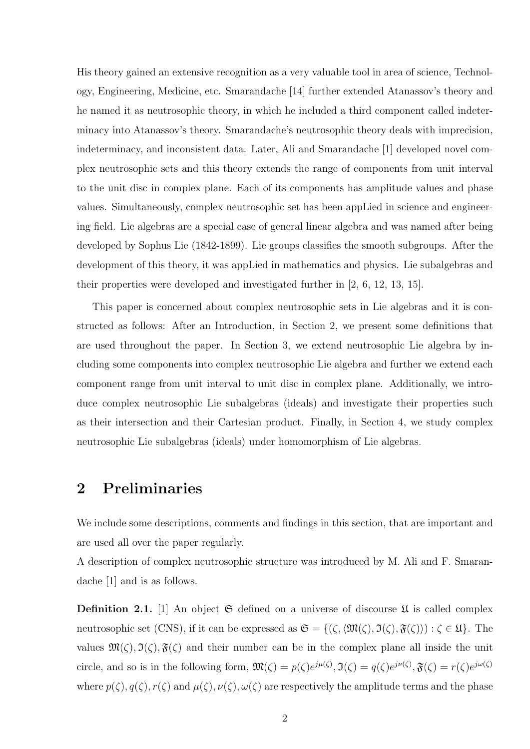His theory gained an extensive recognition as a very valuable tool in area of science, Technology, Engineering, Medicine, etc. Smarandache [14] further extended Atanassov's theory and he named it as neutrosophic theory, in which he included a third component called indeterminacy into Atanassov's theory. Smarandache's neutrosophic theory deals with imprecision, indeterminacy, and inconsistent data. Later, Ali and Smarandache [1] developed novel complex neutrosophic sets and this theory extends the range of components from unit interval to the unit disc in complex plane. Each of its components has amplitude values and phase values. Simultaneously, complex neutrosophic set has been appLied in science and engineering field. Lie algebras are a special case of general linear algebra and was named after being developed by Sophus Lie (1842-1899). Lie groups classifies the smooth subgroups. After the development of this theory, it was appLied in mathematics and physics. Lie subalgebras and their properties were developed and investigated further in [2, 6, 12, 13, 15].

This paper is concerned about complex neutrosophic sets in Lie algebras and it is constructed as follows: After an Introduction, in Section 2, we present some definitions that are used throughout the paper. In Section 3, we extend neutrosophic Lie algebra by including some components into complex neutrosophic Lie algebra and further we extend each component range from unit interval to unit disc in complex plane. Additionally, we introduce complex neutrosophic Lie subalgebras (ideals) and investigate their properties such as their intersection and their Cartesian product. Finally, in Section 4, we study complex neutrosophic Lie subalgebras (ideals) under homomorphism of Lie algebras.

### 2 Preliminaries

We include some descriptions, comments and findings in this section, that are important and are used all over the paper regularly.

A description of complex neutrosophic structure was introduced by M. Ali and F. Smarandache [1] and is as follows.

**Definition 2.1.** [1] An object  $\mathfrak{S}$  defined on a universe of discourse  $\mathfrak{U}$  is called complex neutrosophic set (CNS), if it can be expressed as  $\mathfrak{S} = \{(\zeta, \langle \mathfrak{M}(\zeta), \mathfrak{I}(\zeta), \mathfrak{F}(\zeta)\rangle) : \zeta \in \mathfrak{U}\}\)$ . The values  $\mathfrak{M}(\zeta), \mathfrak{I}(\zeta), \mathfrak{F}(\zeta)$  and their number can be in the complex plane all inside the unit circle, and so is in the following form,  $\mathfrak{M}(\zeta) = p(\zeta)e^{j\mu(\zeta)}, \mathfrak{I}(\zeta) = q(\zeta)e^{j\nu(\zeta)}, \mathfrak{F}(\zeta) = r(\zeta)e^{j\omega(\zeta)}$ where  $p(\zeta), q(\zeta), r(\zeta)$  and  $\mu(\zeta), \nu(\zeta), \omega(\zeta)$  are respectively the amplitude terms and the phase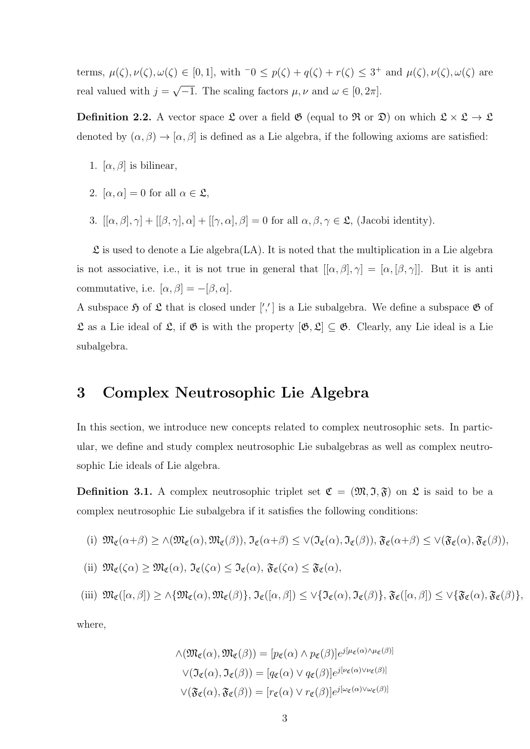terms,  $\mu(\zeta), \nu(\zeta), \omega(\zeta) \in [0, 1]$ , with  $\overline{\zeta} \circ \gamma = \nu(\zeta) + q(\zeta) + r(\zeta) \leq 3^+$  and  $\mu(\zeta), \nu(\zeta), \omega(\zeta)$  are real valued with  $j =$ √  $\overline{-1}$ . The scaling factors  $\mu, \nu$  and  $\omega \in [0, 2\pi]$ .

**Definition 2.2.** A vector space  $\mathfrak{L}$  over a field  $\mathfrak{G}$  (equal to  $\mathfrak{R}$  or  $\mathfrak{D}$ ) on which  $\mathfrak{L} \times \mathfrak{L} \to \mathfrak{L}$ denoted by  $(\alpha, \beta) \rightarrow [\alpha, \beta]$  is defined as a Lie algebra, if the following axioms are satisfied:

- 1.  $[\alpha, \beta]$  is bilinear,
- 2.  $[\alpha, \alpha] = 0$  for all  $\alpha \in \mathfrak{L}$ ,
- 3.  $[[\alpha, \beta], \gamma] + [[\beta, \gamma], \alpha] + [[\gamma, \alpha], \beta] = 0$  for all  $\alpha, \beta, \gamma \in \mathfrak{L}$ , (Jacobi identity).

 $\mathfrak L$  is used to denote a Lie algebra(LA). It is noted that the multiplication in a Lie algebra is not associative, i.e., it is not true in general that  $[[\alpha, \beta], \gamma] = [\alpha, [\beta, \gamma]]$ . But it is anti commutative, i.e.  $[\alpha, \beta] = -[\beta, \alpha]$ .

A subspace  $\mathfrak H$  of  $\mathfrak L$  that is closed under  $\binom{n}{i}$  is a Lie subalgebra. We define a subspace  $\mathfrak G$  of  $\mathfrak L$  as a Lie ideal of  $\mathfrak L$ , if  $\mathfrak G$  is with the property  $[\mathfrak G, \mathfrak L] \subseteq \mathfrak G$ . Clearly, any Lie ideal is a Lie subalgebra.

#### 3 Complex Neutrosophic Lie Algebra

In this section, we introduce new concepts related to complex neutrosophic sets. In particular, we define and study complex neutrosophic Lie subalgebras as well as complex neutrosophic Lie ideals of Lie algebra.

**Definition 3.1.** A complex neutrosophic triplet set  $\mathfrak{C} = (\mathfrak{M}, \mathfrak{I}, \mathfrak{F})$  on  $\mathfrak{L}$  is said to be a complex neutrosophic Lie subalgebra if it satisfies the following conditions:

(i) 
$$
\mathfrak{M}_{\mathfrak{C}}(\alpha+\beta) \geq \wedge (\mathfrak{M}_{\mathfrak{C}}(\alpha), \mathfrak{M}_{\mathfrak{C}}(\beta)), \mathfrak{I}_{\mathfrak{C}}(\alpha+\beta) \leq \vee (\mathfrak{I}_{\mathfrak{C}}(\alpha), \mathfrak{I}_{\mathfrak{C}}(\beta)), \mathfrak{F}_{\mathfrak{C}}(\alpha+\beta) \leq \vee (\mathfrak{F}_{\mathfrak{C}}(\alpha), \mathfrak{F}_{\mathfrak{C}}(\beta)),
$$

(ii) 
$$
\mathfrak{M}_{\mathfrak{C}}(\zeta\alpha) \geq \mathfrak{M}_{\mathfrak{C}}(\alpha), \mathfrak{I}_{\mathfrak{C}}(\zeta\alpha) \leq \mathfrak{I}_{\mathfrak{C}}(\alpha), \mathfrak{F}_{\mathfrak{C}}(\zeta\alpha) \leq \mathfrak{F}_{\mathfrak{C}}(\alpha),
$$

$$
\text{(iii)} \ \mathfrak{M}_{\mathfrak{C}}([\alpha,\beta]) \geq \wedge \{\mathfrak{M}_{\mathfrak{C}}(\alpha),\mathfrak{M}_{\mathfrak{C}}(\beta)\}, \ \mathfrak{I}_{\mathfrak{C}}([\alpha,\beta]) \leq \vee \{\mathfrak{I}_{\mathfrak{C}}(\alpha),\mathfrak{I}_{\mathfrak{C}}(\beta)\}, \ \mathfrak{F}_{\mathfrak{C}}([\alpha,\beta]) \leq \vee \{\mathfrak{F}_{\mathfrak{C}}(\alpha),\mathfrak{F}_{\mathfrak{C}}(\beta)\},
$$

where,

$$
\wedge (\mathfrak{M}_{\mathfrak{C}}(\alpha), \mathfrak{M}_{\mathfrak{C}}(\beta)) = [p_{\mathfrak{C}}(\alpha) \wedge p_{\mathfrak{C}}(\beta)]e^{j[\mu_{\mathfrak{C}}(\alpha) \wedge \mu_{\mathfrak{C}}(\beta)]}
$$

$$
\vee (\mathfrak{I}_{\mathfrak{C}}(\alpha), \mathfrak{I}_{\mathfrak{C}}(\beta)) = [q_{\mathfrak{C}}(\alpha) \vee q_{\mathfrak{C}}(\beta)]e^{j[\nu_{\mathfrak{C}}(\alpha) \vee \nu_{\mathfrak{C}}(\beta)]}
$$

$$
\vee (\mathfrak{F}_{\mathfrak{C}}(\alpha), \mathfrak{F}_{\mathfrak{C}}(\beta)) = [r_{\mathfrak{C}}(\alpha) \vee r_{\mathfrak{C}}(\beta)]e^{j[\omega_{\mathfrak{C}}(\alpha) \vee \omega_{\mathfrak{C}}(\beta)]}
$$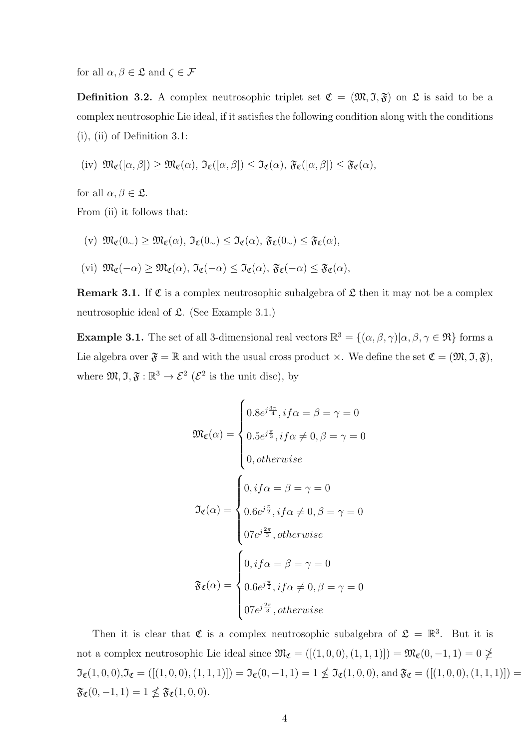for all  $\alpha, \beta \in \mathfrak{L}$  and  $\zeta \in \mathcal{F}$ 

**Definition 3.2.** A complex neutrosophic triplet set  $\mathfrak{C} = (\mathfrak{M}, \mathfrak{I}, \mathfrak{F})$  on  $\mathfrak{L}$  is said to be a complex neutrosophic Lie ideal, if it satisfies the following condition along with the conditions (i), (ii) of Definition 3.1:

$$
(iv) \ \mathfrak{M}_{\mathfrak{C}}([\alpha,\beta]) \geq \mathfrak{M}_{\mathfrak{C}}(\alpha), \ \mathfrak{I}_{\mathfrak{C}}([\alpha,\beta]) \leq \mathfrak{I}_{\mathfrak{C}}(\alpha), \ \mathfrak{F}_{\mathfrak{C}}([\alpha,\beta]) \leq \mathfrak{F}_{\mathfrak{C}}(\alpha),
$$

for all  $\alpha, \beta \in \mathfrak{L}$ .

From (ii) it follows that:

- (v)  $\mathfrak{M}_{\mathfrak{C}}(0_{\sim}) > \mathfrak{M}_{\mathfrak{C}}(\alpha)$ ,  $\mathfrak{I}_{\mathfrak{C}}(0_{\sim}) \leq \mathfrak{I}_{\mathfrak{C}}(\alpha)$ ,  $\mathfrak{F}_{\mathfrak{C}}(0_{\sim}) \leq \mathfrak{F}_{\mathfrak{C}}(\alpha)$ ,
- (vi)  $\mathfrak{M}_{\mathfrak{C}}(-\alpha) \geq \mathfrak{M}_{\mathfrak{C}}(\alpha)$ ,  $\mathfrak{I}_{\mathfrak{C}}(-\alpha) \leq \mathfrak{I}_{\mathfrak{C}}(\alpha)$ ,  $\mathfrak{F}_{\mathfrak{C}}(-\alpha) \leq \mathfrak{F}_{\mathfrak{C}}(\alpha)$ ,

**Remark 3.1.** If  $\mathfrak{C}$  is a complex neutrosophic subalgebra of  $\mathfrak{L}$  then it may not be a complex neutrosophic ideal of  $\mathfrak{L}$ . (See Example 3.1.)

**Example 3.1.** The set of all 3-dimensional real vectors  $\mathbb{R}^3 = \{(\alpha, \beta, \gamma) | \alpha, \beta, \gamma \in \mathfrak{R}\}\)$  forms a Lie algebra over  $\mathfrak{F} = \mathbb{R}$  and with the usual cross product  $\times$ . We define the set  $\mathfrak{C} = (\mathfrak{M}, \mathfrak{I}, \mathfrak{F}),$ where  $\mathfrak{M}, \mathfrak{I}, \mathfrak{F} : \mathbb{R}^3 \to \mathcal{E}^2$  ( $\mathcal{E}^2$  is the unit disc), by

$$
\mathfrak{M}_{\mathfrak{C}}(\alpha) = \begin{cases} 0.8e^{j\frac{3\pi}{4}}, if \alpha = \beta = \gamma = 0 \\ 0.5e^{j\frac{\pi}{3}}, if \alpha \neq 0, \beta = \gamma = 0 \\ 0, otherwise \end{cases}
$$

$$
\mathfrak{I}_{\mathfrak{C}}(\alpha) = \begin{cases} 0, if \alpha = \beta = \gamma = 0 \\ 0.6e^{j\frac{\pi}{2}}, if \alpha \neq 0, \beta = \gamma = 0 \\ 07e^{j\frac{2\pi}{3}}, otherwise \end{cases}
$$

$$
\mathfrak{F}_{\mathfrak{C}}(\alpha) = \begin{cases} 0, if \alpha = \beta = \gamma = 0 \\ 0.6e^{j\frac{\pi}{2}}, if \alpha \neq 0, \beta = \gamma = 0 \\ 07e^{j\frac{2\pi}{3}}, otherwise \end{cases}
$$

Then it is clear that  $\mathfrak C$  is a complex neutrosophic subalgebra of  $\mathfrak L = \mathbb R^3$ . But it is not a complex neutrosophic Lie ideal since  $\mathfrak{M}_{\mathfrak{C}} = ([(1,0,0),(1,1,1)]) = \mathfrak{M}_{\mathfrak{C}}(0,-1,1) = 0 \ngeq 0$  $\mathfrak{I}_{\mathfrak{C}}(1,0,0),\mathfrak{I}_{\mathfrak{C}}=([(1,0,0),(1,1,1)])=\mathfrak{I}_{\mathfrak{C}}(0,-1,1)=1\nleq \mathfrak{I}_{\mathfrak{C}}(1,0,0),$  and  $\mathfrak{F}_{\mathfrak{C}}=([(1,0,0),(1,1,1)])=$  $\mathfrak{F}_{\mathfrak{C}}(0,-1,1) = 1 \nleq \mathfrak{F}_{\mathfrak{C}}(1,0,0).$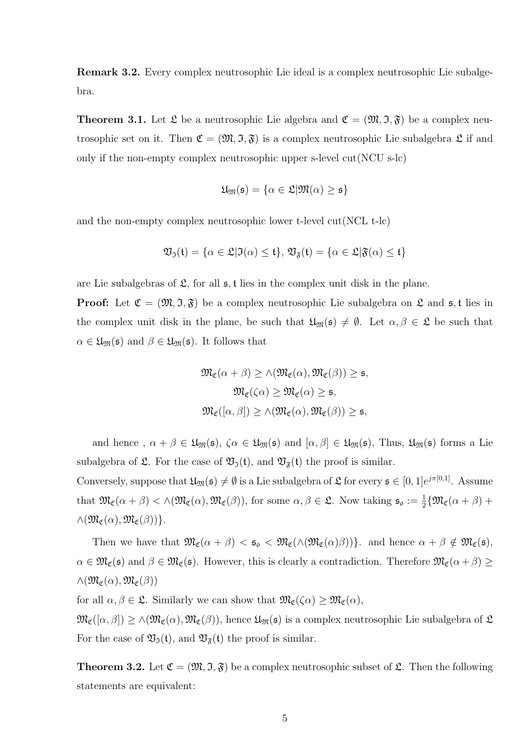Remark 3.2. Every complex neutrosophic Lie ideal is a complex neutrosophic Lie subalgebra.

**Theorem 3.1.** Let  $\mathfrak{L}$  be a neutrosophic Lie algebra and  $\mathfrak{C} = (\mathfrak{M}, \mathfrak{I}, \mathfrak{F})$  be a complex neutrosophic set on it. Then  $\mathfrak{C} = (\mathfrak{M}, \mathfrak{I}, \mathfrak{F})$  is a complex neutrosophic Lie subalgebra  $\mathfrak{L}$  if and only if the non-empty complex neutrosophic upper s-level cut(NCU s-lc)

$$
\mathfrak{U}_{\mathfrak{M}}(\mathfrak{s}) = \{ \alpha \in \mathfrak{L} | \mathfrak{M}(\alpha) \geq \mathfrak{s} \}
$$

and the non-empty complex neutrosophic lower t-level cut(NCL t-lc)

$$
\mathfrak{V}_\mathfrak{I}(\mathfrak{t}) = \{ \alpha \in \mathfrak{L} | \mathfrak{I}(\alpha) \leq \mathfrak{t} \}, \, \mathfrak{V}_{\mathfrak{F}}(\mathfrak{t}) = \{ \alpha \in \mathfrak{L} | \mathfrak{F}(\alpha) \leq \mathfrak{t} \}
$$

are Lie subalgebras of  $\mathfrak{L}$ , for all  $\mathfrak{s}$ , t lies in the complex unit disk in the plane.

**Proof:** Let  $\mathfrak{C} = (\mathfrak{M}, \mathfrak{I}, \mathfrak{F})$  be a complex neutrosophic Lie subalgebra on  $\mathfrak{L}$  and  $\mathfrak{s}, \mathfrak{t}$  lies in the complex unit disk in the plane, be such that  $\mathfrak{U}_{\mathfrak{M}}(\mathfrak{s})\neq \emptyset$ . Let  $\alpha,\beta\in \mathfrak{L}$  be such that  $\alpha \in \mathfrak{U}_{\mathfrak{M}}(\mathfrak{s})$  and  $\beta \in \mathfrak{U}_{\mathfrak{M}}(\mathfrak{s})$ . It follows that

$$
\mathfrak{M}_{\mathfrak{C}}(\alpha + \beta) \ge \wedge (\mathfrak{M}_{\mathfrak{C}}(\alpha), \mathfrak{M}_{\mathfrak{C}}(\beta)) \ge \mathfrak{s},
$$
  

$$
\mathfrak{M}_{\mathfrak{C}}(\zeta \alpha) \ge \mathfrak{M}_{\mathfrak{C}}(\alpha) \ge \mathfrak{s},
$$
  

$$
\mathfrak{M}_{\mathfrak{C}}([\alpha, \beta]) \ge \wedge (\mathfrak{M}_{\mathfrak{C}}(\alpha), \mathfrak{M}_{\mathfrak{C}}(\beta)) \ge \mathfrak{s},
$$

and hence,  $\alpha + \beta \in \mathfrak{U}_{\mathfrak{M}}(\mathfrak{s}), \zeta \alpha \in \mathfrak{U}_{\mathfrak{M}}(\mathfrak{s})$  and  $[\alpha, \beta] \in \mathfrak{U}_{\mathfrak{M}}(\mathfrak{s})$ , Thus,  $\mathfrak{U}_{\mathfrak{M}}(\mathfrak{s})$  forms a Lie subalgebra of  $\mathfrak{L}$ . For the case of  $\mathfrak{V}_{\mathfrak{I}}(\mathfrak{t})$ , and  $\mathfrak{V}_{\mathfrak{F}}(\mathfrak{t})$  the proof is similar.

Conversely, suppose that  $\mathfrak{U}_{\mathfrak{M}}(\mathfrak{s})\neq\emptyset$  is a Lie subalgebra of  $\mathfrak{L}$  for every  $\mathfrak{s}\in[0,1]e^{j\pi[0,1]}$ . Assume that  $\mathfrak{M}_{\mathfrak{C}}(\alpha+\beta) < \wedge (\mathfrak{M}_{\mathfrak{C}}(\alpha), \mathfrak{M}_{\mathfrak{C}}(\beta))$ , for some  $\alpha, \beta \in \mathfrak{L}$ . Now taking  $\mathfrak{s}_{\mathfrak{o}} := \frac{1}{2} \{ \mathfrak{M}_{\mathfrak{C}}(\alpha+\beta) + \alpha \}$  $\wedge (\mathfrak{M}_{\mathfrak{C}}(\alpha),\mathfrak{M}_{\mathfrak{C}}(\beta))\}.$ 

Then we have that  $\mathfrak{M}_{\mathfrak{C}}(\alpha + \beta) < \mathfrak{s}_{\mathfrak{0}} < \mathfrak{M}_{\mathfrak{C}}(\wedge(\mathfrak{M}_{\mathfrak{C}}(\alpha)\beta))$ . and hence  $\alpha + \beta \notin \mathfrak{M}_{\mathfrak{C}}(\mathfrak{s})$ ,  $\alpha \in \mathfrak{M}_{\mathfrak{C}}(\mathfrak{s})$  and  $\beta \in \mathfrak{M}_{\mathfrak{C}}(\mathfrak{s})$ . However, this is clearly a contradiction. Therefore  $\mathfrak{M}_{\mathfrak{C}}(\alpha+\beta) \geq$  $\wedge(\mathfrak{M}_{\mathfrak{C}}(\alpha),\mathfrak{M}_{\mathfrak{C}}(\beta))$ 

for all  $\alpha, \beta \in \mathfrak{L}$ . Similarly we can show that  $\mathfrak{M}_{\mathfrak{C}}(\zeta \alpha) \geq \mathfrak{M}_{\mathfrak{C}}(\alpha)$ ,

 $\mathfrak{M}_{\mathfrak{C}}([\alpha,\beta]) \geq \wedge (\mathfrak{M}_{\mathfrak{C}}(\alpha),\mathfrak{M}_{\mathfrak{C}}(\beta)),$  hence  $\mathfrak{U}_{\mathfrak{M}}(\mathfrak{s})$  is a complex neutrosophic Lie subalgebra of  $\mathfrak{L}$ For the case of  $\mathfrak{V}_{\mathfrak{I}}(\mathfrak{t})$ , and  $\mathfrak{V}_{\mathfrak{F}}(\mathfrak{t})$  the proof is similar.

**Theorem 3.2.** Let  $\mathfrak{C} = (\mathfrak{M}, \mathfrak{I}, \mathfrak{F})$  be a complex neutrosophic subset of  $\mathfrak{L}$ . Then the following statements are equivalent: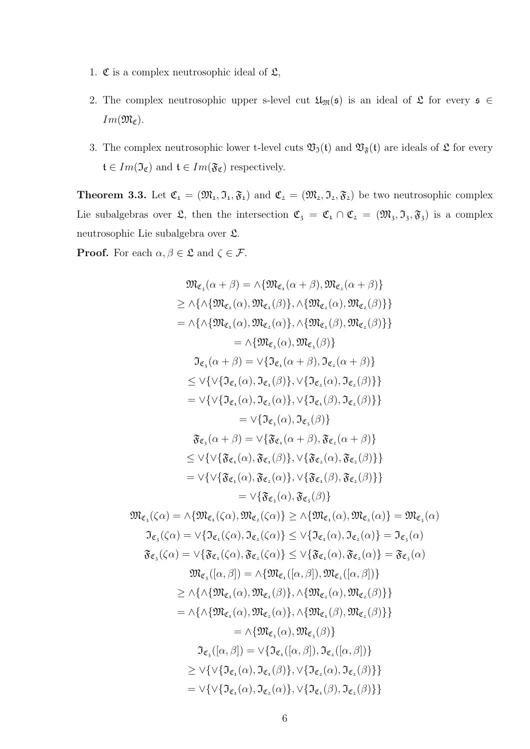- 1.  $\mathfrak C$  is a complex neutrosophic ideal of  $\mathfrak L$ ,
- 2. The complex neutrosophic upper s-level cut  $\mathfrak{U}_{\mathfrak{M}}(\mathfrak{s})$  is an ideal of  $\mathfrak{L}$  for every  $\mathfrak{s} \in$  $Im(\mathfrak{M}_{\mathfrak{C}}).$
- 3. The complex neutrosophic lower t-level cuts  $\mathfrak{V}_{\mathfrak{I}}(\mathfrak{t})$  and  $\mathfrak{V}_{\mathfrak{F}}(\mathfrak{t})$  are ideals of  $\mathfrak{L}$  for every  $\mathfrak{t}\in Im(\mathfrak{I}_{\mathfrak{C}})$  and  $\mathfrak{t}\in Im(\mathfrak{F}_{\mathfrak{C}})$  respectively.

**Theorem 3.3.** Let  $\mathfrak{C}_1 = (\mathfrak{M}_1, \mathfrak{I}_1, \mathfrak{F}_1)$  and  $\mathfrak{C}_2 = (\mathfrak{M}_2, \mathfrak{I}_2, \mathfrak{F}_2)$  be two neutrosophic complex Lie subalgebras over  $\mathfrak{L}$ , then the intersection  $\mathfrak{C}_3 = \mathfrak{C}_1 \cap \mathfrak{C}_2 = (\mathfrak{M}_3, \mathfrak{I}_3, \mathfrak{F}_3)$  is a complex neutrosophic Lie subalgebra over L.

**Proof.** For each  $\alpha, \beta \in \mathfrak{L}$  and  $\zeta \in \mathcal{F}$ .

$$
\mathfrak{M}_{\mathfrak{C}_{3}}(\alpha+\beta) = \wedge \{\mathfrak{M}_{\mathfrak{C}_{4}}(\alpha+\beta), \mathfrak{M}_{\mathfrak{C}_{4}}(\alpha+\beta)\}\n\geq \wedge \{\wedge \{\mathfrak{M}_{\mathfrak{C}_{1}}(\alpha), \mathfrak{M}_{\mathfrak{C}_{2}}(\beta)\}, \wedge \{\mathfrak{M}_{\mathfrak{C}_{2}}(\alpha), \mathfrak{M}_{\mathfrak{C}_{2}}(\beta)\}\}\n= \wedge \{\wedge \{\mathfrak{M}_{\mathfrak{C}_{4}}(\alpha), \mathfrak{M}_{\mathfrak{C}_{4}}(\beta), \wedge \{\mathfrak{M}_{\mathfrak{C}_{4}}(\beta), \mathfrak{M}_{\mathfrak{C}_{4}}(\beta)\}\}\n= \wedge \{\mathfrak{M}_{\mathfrak{C}_{3}}(\alpha), \mathfrak{M}_{\mathfrak{C}_{3}}(\beta)\}\n\mathfrak{J}_{\mathfrak{C}_{3}}(\alpha+\beta) = \vee \{\mathfrak{J}_{\mathfrak{C}_{1}}(\alpha+\beta), \mathfrak{J}_{\mathfrak{C}_{2}}(\alpha), \mathfrak{J}_{\mathfrak{C}_{2}}(\beta)\}\n\leq \vee \{\vee \{\vee \{\mathfrak{J}_{\mathfrak{C}_{1}}(\alpha), \mathfrak{J}_{\mathfrak{C}_{1}}(\beta), \mathfrak{J}_{\mathfrak{C}_{2}}(\beta)\}\n\} = \vee \{\mathfrak{J}_{\mathfrak{C}_{3}}(\alpha), \mathfrak{J}_{\mathfrak{C}_{4}}(\beta), \mathfrak{J}_{\mathfrak{C}_{2}}(\beta)\}\n\} = \vee \{\mathfrak{J}_{\mathfrak{C}_{3}}(\alpha), \mathfrak{J}_{\mathfrak{C}_{4}}(\beta), \mathfrak{J}_{\mathfrak{C}_{2}}(\beta)\}\n\} = \vee \{\mathfrak{J}_{\mathfrak{C}_{3}}(\alpha), \mathfrak{J}_{\mathfrak{C}_{4}}(\beta), \mathfrak{J}_{\mathfrak{C}_{2}}(\beta)\}\n\} = \vee \{\mathfrak{J}_{\mathfrak{C}_{3}}(\alpha), \mathfrak{J}_{\mathfrak{C}_{4}}(\beta), \mathfrak{J}_{\mathfrak{C}_{4}}(\beta)\}\n\leq \vee \{\vee \{\mathfrak{J}_{\mathfrak{C}_{3}}(\alpha), \mathfr
$$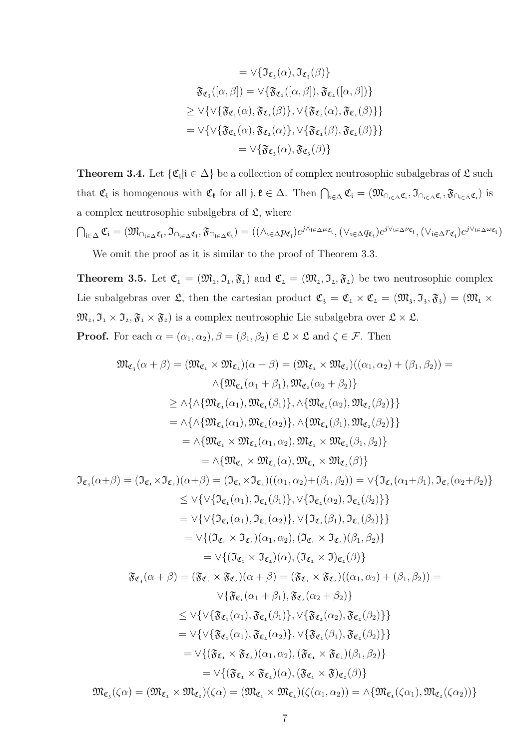$$
= \vee \{ \Im_{\mathfrak{C}_3}(\alpha), \Im_{\mathfrak{C}_3}(\beta) \}
$$

$$
\mathfrak{F}_{\mathfrak{C}_3}([\alpha, \beta]) = \vee \{ \mathfrak{F}_{\mathfrak{C}_1}([\alpha, \beta]), \mathfrak{F}_{\mathfrak{C}_2}([\alpha, \beta]) \}
$$

$$
\geq \vee \{ \vee \{ \mathfrak{F}_{\mathfrak{C}_1}(\alpha), \mathfrak{F}_{\mathfrak{C}_1}(\beta) \}, \vee \{ \mathfrak{F}_{\mathfrak{C}_2}(\alpha), \mathfrak{F}_{\mathfrak{C}_2}(\beta) \} \}
$$

$$
= \vee \{ \vee \{ \mathfrak{F}_{\mathfrak{C}_1}(\alpha), \mathfrak{F}_{\mathfrak{C}_2}(\alpha) \}, \vee \{ \mathfrak{F}_{\mathfrak{C}_1}(\beta), \mathfrak{F}_{\mathfrak{C}_2}(\beta) \} \}
$$

$$
= \vee \{ \mathfrak{F}_{\mathfrak{C}_3}(\alpha), \mathfrak{F}_{\mathfrak{C}_3}(\beta) \}
$$

**Theorem 3.4.** Let  $\{\mathfrak{C}_i | i \in \Delta\}$  be a collection of complex neutrosophic subalgebras of  $\mathfrak{L}$  such that  $\mathfrak{C}_i$  is homogenous with  $\mathfrak{C}_\mathfrak{k}$  for all  $j, \mathfrak{k} \in \Delta$ . Then  $\bigcap_{i \in \Delta} \mathfrak{C}_i = (\mathfrak{M}_{\cap_{i \in \Delta} \mathfrak{C}_i}, \mathfrak{I}_{\cap_{i \in \Delta} \mathfrak{C}_i}, \mathfrak{F}_{\cap_{i \in \Delta} \mathfrak{C}_i})$  is a complex neutrosophic subalgebra of  $\mathfrak{L}$ , where

$$
\bigcap_{i\in\Delta}\mathfrak{C}_i=(\mathfrak{M}_{\cap_{i\in\Delta}\mathfrak{C}_i},\mathfrak{I}_{\cap_{i\in\Delta}\mathfrak{C}_i},\mathfrak{F}_{\cap_{i\in\Delta}\mathfrak{C}_i})=((\wedge_{i\in\Delta}p_{\mathfrak{C}_i})e^{j\wedge_{i\in\Delta}\mu_{\mathfrak{C}_i}},(\vee_{i\in\Delta}q_{\mathfrak{C}_i})e^{j\vee_{i\in\Delta}\nu_{\mathfrak{C}_i}},(\vee_{i\in\Delta}r_{\mathfrak{C}_i})e^{j\vee_{i\in\Delta}\omega_{\mathfrak{C}_i}})
$$

We omit the proof as it is similar to the proof of Theorem 3.3.

**Theorem 3.5.** Let  $\mathfrak{C}_1 = (\mathfrak{M}_1, \mathfrak{I}_1, \mathfrak{F}_1)$  and  $\mathfrak{C}_2 = (\mathfrak{M}_2, \mathfrak{I}_2, \mathfrak{F}_2)$  be two neutrosophic complex Lie subalgebras over  $\mathfrak{L}$ , then the cartesian product  $\mathfrak{C}_3 = \mathfrak{C}_1 \times \mathfrak{C}_2 = (\mathfrak{M}_3, \mathfrak{I}_3, \mathfrak{F}_3) = (\mathfrak{M}_1 \times$  $\mathfrak{M}_2, \mathfrak{I}_1 \times \mathfrak{I}_2, \mathfrak{F}_1 \times \mathfrak{F}_2)$  is a complex neutrosophic Lie subalgebra over  $\mathfrak{L} \times \mathfrak{L}$ . **Proof.** For each  $\alpha = (\alpha_1, \alpha_2), \beta = (\beta_1, \beta_2) \in \mathfrak{L} \times \mathfrak{L}$  and  $\zeta \in \mathcal{F}$ . Then

$$
\mathfrak{M}_{\mathfrak{C}_{\mathfrak{s}}}(\alpha+\beta)=(\mathfrak{M}_{\mathfrak{C}_{\mathfrak{s}}} \times \mathfrak{M}_{\mathfrak{C}_{\mathfrak{s}}})(\alpha+\beta)=(\mathfrak{M}_{\mathfrak{C}_{\mathfrak{s}}} \times \mathfrak{M}_{\mathfrak{C}_{\mathfrak{s}}})((\alpha_{1},\alpha_{2})+(\beta_{1},\beta_{2})) =
$$
\n
$$
\wedge \{\mathfrak{M}_{\mathfrak{C}_{\mathfrak{s}}}(\alpha_{1}+\beta_{1}),\mathfrak{M}_{\mathfrak{C}_{\mathfrak{s}}}(\alpha_{2}+\beta_{2})\}
$$
\n
$$
\geq \wedge \{\wedge \{\mathfrak{M}_{\mathfrak{C}_{\mathfrak{s}}}(\alpha_{1}),\mathfrak{M}_{\mathfrak{C}_{\mathfrak{s}}}(\alpha_{2})\},\wedge \{\mathfrak{M}_{\mathfrak{C}_{\mathfrak{s}}}(\beta_{2})\}\}
$$
\n
$$
=\wedge \{\Omega_{\mathfrak{C}_{\mathfrak{s}}}(\alpha_{1}),\mathfrak{M}_{\mathfrak{C}_{\mathfrak{s}}}(\alpha_{2})\},\wedge \{\mathfrak{M}_{\mathfrak{C}_{\mathfrak{s}}}(\beta_{1}),\mathfrak{M}_{\mathfrak{C}_{\mathfrak{s}}}(\beta_{2})\}\
$$
\n
$$
=\wedge \{\mathfrak{M}_{\mathfrak{C}_{\mathfrak{s}}} \times \mathfrak{M}_{\mathfrak{C}_{\mathfrak{s}}}(\alpha_{1},\alpha_{2}),\mathfrak{M}_{\mathfrak{C}_{\mathfrak{s}}} \times \mathfrak{M}_{\mathfrak{C}_{\mathfrak{s}}}(\beta_{1}),\beta_{2}\}
$$
\n
$$
=\wedge \{\mathfrak{M}_{\mathfrak{C}_{\mathfrak{s}}} \times \mathfrak{M}_{\mathfrak{C}_{\mathfrak{s}}}(\alpha_{1}),\mathfrak{M}_{\mathfrak{C}_{\mathfrak{s}}} \times \mathfrak{M}_{\mathfrak{C}_{\mathfrak{s}}}(\beta_{1})\}
$$
\n
$$
\mathfrak{I}_{\mathfrak{C}_{\mathfrak{s}}}(\alpha+\beta)=(\mathfrak{I}_{\mathfrak{C}_{\mathfrak{s}}} \times \mathfrak{I}_{\mathfrak{C}_{\mathfrak{s}}}((\alpha_{1},\alpha_{2}))+(\beta_{1},\beta_{2}))=\ve
$$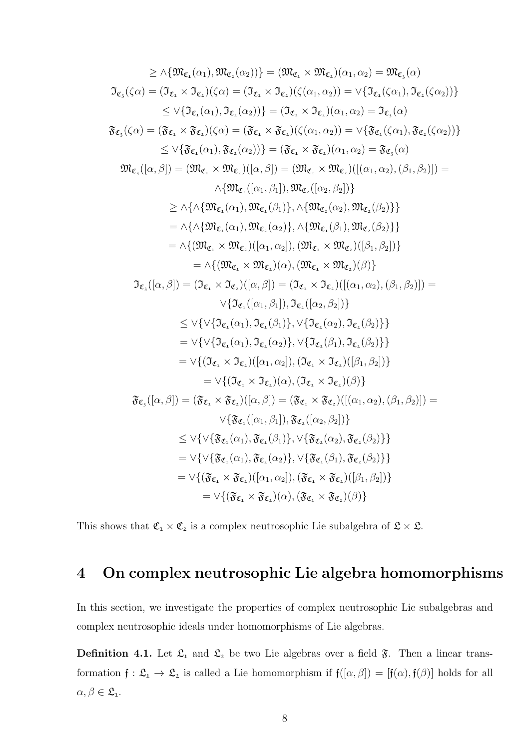$$
\geq \wedge \{\mathfrak{M}_{\mathfrak{C}_{1}}(\alpha_{1}), \mathfrak{M}_{\mathfrak{C}_{2}}(\alpha_{2})\}\} = (\mathfrak{M}_{\mathfrak{C}_{1}} \times \mathfrak{M}_{\mathfrak{C}_{2}})(\alpha_{1}, \alpha_{2}) = \mathfrak{M}_{\mathfrak{C}_{3}}(\alpha)
$$
\n
$$
\mathfrak{I}_{\mathfrak{C}_{1}}(\zeta\alpha) = (\mathfrak{I}_{\mathfrak{C}_{1}} \times \mathfrak{I}_{\mathfrak{C}_{2}})(\zeta\alpha) = (\mathfrak{I}_{\mathfrak{C}_{1}} \times \mathfrak{I}_{\mathfrak{C}_{2}})(\zeta(\alpha_{1}, \alpha_{2})) = \vee \{\mathfrak{I}_{\mathfrak{C}_{1}}(\zeta\alpha_{1}), \mathfrak{I}_{\mathfrak{C}_{2}}(\zeta\alpha_{2}))\}
$$
\n
$$
\leq \vee \{\mathfrak{I}_{\mathfrak{C}_{1}}(\alpha_{1}), \mathfrak{I}_{\mathfrak{C}_{2}}(\alpha_{2})\}\} = (\mathfrak{J}_{\mathfrak{C}_{1}} \times \mathfrak{J}_{\mathfrak{C}_{2}})(\zeta(\alpha_{1}, \alpha_{2})) = \vee \{\mathfrak{F}_{\mathfrak{C}_{1}}(\zeta\alpha_{1}), \mathfrak{F}_{\mathfrak{C}_{2}}(\zeta\alpha_{2}))\}
$$
\n
$$
\mathfrak{F}_{\mathfrak{C}_{3}}(\zeta\alpha) = (\mathfrak{F}_{\mathfrak{C}_{1}} \times \mathfrak{F}_{\mathfrak{C}_{2}})(\zeta(\alpha_{1}, \alpha_{2})) = \vee \{\mathfrak{F}_{\mathfrak{C}_{1}}(\alpha_{1}), \mathfrak{F}_{\mathfrak{C}_{2}}(\alpha_{2}))\}
$$
\n
$$
\leq \vee \{\mathfrak{F}_{\mathfrak{C}_{1}}(\alpha_{1}), \mathfrak{F}_{\mathfrak{C}_{2}}(\alpha_{2}))\} = (\mathfrak{F}_{\mathfrak{C}_{1}} \times \mathfrak{M}_{\mathfrak{C}_{2}})((\alpha_{1}, \alpha_{2})) = \mathfrak{F}_{\mathfrak{C}_{3}}(\alpha)
$$
\n
$$
\mathfrak{M}_{\mathfrak{C}_{3}}([\alpha, \beta]) = (\mathfrak{M}_{\mathfrak{C}_{1}} \times
$$

This shows that  $\mathfrak{C_1}\times \mathfrak{C_2}$  is a complex neutrosophic Lie subalgebra of  $\mathfrak{L}\times \mathfrak{L}.$ 

## 4 On complex neutrosophic Lie algebra homomorphisms

In this section, we investigate the properties of complex neutrosophic Lie subalgebras and complex neutrosophic ideals under homomorphisms of Lie algebras.

**Definition 4.1.** Let  $\mathfrak{L}_1$  and  $\mathfrak{L}_2$  be two Lie algebras over a field  $\mathfrak{F}$ . Then a linear transformation  $f: \mathfrak{L}_1 \to \mathfrak{L}_2$  is called a Lie homomorphism if  $f([\alpha, \beta]) = [f(\alpha), f(\beta)]$  holds for all  $\alpha, \beta \in \mathfrak{L}_{1}.$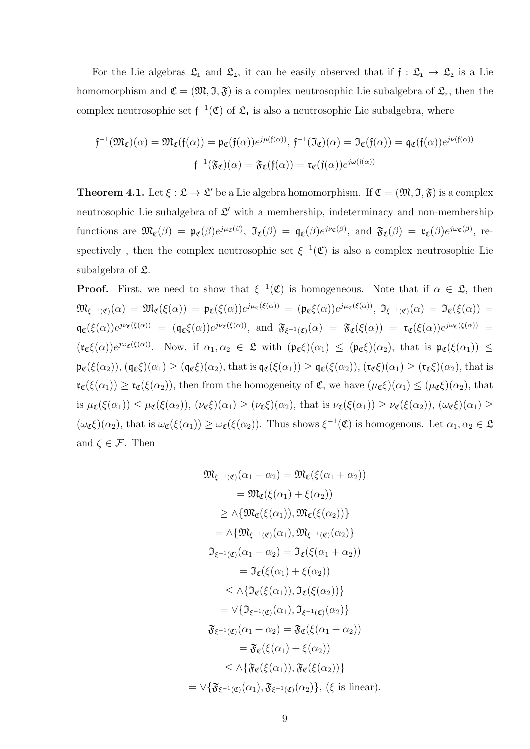For the Lie algebras  $\mathfrak{L}_1$  and  $\mathfrak{L}_2$ , it can be easily observed that if  $\mathfrak{f} : \mathfrak{L}_1 \to \mathfrak{L}_2$  is a Lie homomorphism and  $\mathfrak{C} = (\mathfrak{M}, \mathfrak{I}, \mathfrak{F})$  is a complex neutrosophic Lie subalgebra of  $\mathfrak{L}_2$ , then the complex neutrosophic set  $f^{-1}(\mathfrak{C})$  of  $\mathfrak{L}_1$  is also a neutrosophic Lie subalgebra, where

$$
\mathfrak{f}^{-1}(\mathfrak{M}_{\mathfrak{C}})(\alpha) = \mathfrak{M}_{\mathfrak{C}}(\mathfrak{f}(\alpha)) = \mathfrak{p}_{\mathfrak{C}}(\mathfrak{f}(\alpha))e^{j\mu(\mathfrak{f}(\alpha))}, \mathfrak{f}^{-1}(\mathfrak{I}_{\mathfrak{C}})(\alpha) = \mathfrak{I}_{\mathfrak{C}}(\mathfrak{f}(\alpha)) = \mathfrak{q}_{\mathfrak{C}}(\mathfrak{f}(\alpha))e^{j\nu(\mathfrak{f}(\alpha))}
$$

$$
\mathfrak{f}^{-1}(\mathfrak{F}_{\mathfrak{C}})(\alpha) = \mathfrak{F}_{\mathfrak{C}}(\mathfrak{f}(\alpha)) = \mathfrak{r}_{\mathfrak{C}}(\mathfrak{f}(\alpha))e^{j\omega(\mathfrak{f}(\alpha))}
$$

**Theorem 4.1.** Let  $\xi : \mathfrak{L} \to \mathfrak{L}'$  be a Lie algebra homomorphism. If  $\mathfrak{C} = (\mathfrak{M}, \mathfrak{I}, \mathfrak{F})$  is a complex neutrosophic Lie subalgebra of  $\mathcal{L}'$  with a membership, indeterminacy and non-membership functions are  $\mathfrak{M}_{\mathfrak{C}}(\beta) = \mathfrak{p}_{\mathfrak{C}}(\beta)e^{j\mu_{\mathfrak{C}}(\beta)}, \ \mathfrak{I}_{\mathfrak{C}}(\beta) = \mathfrak{q}_{\mathfrak{C}}(\beta)e^{j\nu_{\mathfrak{C}}(\beta)}, \ \text{and} \ \mathfrak{F}_{\mathfrak{C}}(\beta) = \mathfrak{r}_{\mathfrak{C}}(\beta)e^{j\omega_{\mathfrak{C}}(\beta)}, \ \text{re-}$ spectively, then the complex neutrosophic set  $\xi^{-1}(\mathfrak{C})$  is also a complex neutrosophic Lie subalgebra of  $\mathfrak{L}$ .

**Proof.** First, we need to show that  $\xi^{-1}(\mathfrak{C})$  is homogeneous. Note that if  $\alpha \in \mathfrak{L}$ , then  $\mathfrak{M}_{\xi^{-1}(\mathfrak{C})}(\alpha) \, = \, \mathfrak{M}_{\mathfrak{C}}(\xi(\alpha)) = \, \mathfrak{p}_{\mathfrak{C}}(\xi(\alpha)) e^{j \mu_{\mathfrak{C}}(\xi(\alpha))} \, = \, (\mathfrak{p}_{\mathfrak{C}}\xi(\alpha)) e^{j \mu_{\mathfrak{C}}(\xi(\alpha))}, \; \mathfrak{I}_{\xi^{-1}(\mathfrak{C})}(\alpha) \, = \, \mathfrak{I}_{\mathfrak{C}}(\xi(\alpha)) \, = \,$  $\mathfrak{g}_{\mathfrak{C}}(\xi(\alpha))e^{j\nu_{\mathfrak{C}}(\xi(\alpha))} = (\mathfrak{g}_{\mathfrak{C}}\xi(\alpha))e^{j\nu_{\mathfrak{C}}(\xi(\alpha))}, \text{ and } \mathfrak{F}_{\xi^{-1}(\mathfrak{C})}(\alpha) = \mathfrak{F}_{\mathfrak{C}}(\xi(\alpha)) = \mathfrak{r}_{\mathfrak{C}}(\xi(\alpha))e^{j\omega_{\mathfrak{C}}(\xi(\alpha))} =$  $(\mathfrak{r}_{\mathfrak{C}}\xi(\alpha))e^{j\omega_{\mathfrak{C}}(\xi(\alpha))}$ . Now, if  $\alpha_1,\alpha_2 \in \mathfrak{L}$  with  $(\mathfrak{p}_{\mathfrak{C}}\xi)(\alpha_1) \leq (\mathfrak{p}_{\mathfrak{C}}\xi)(\alpha_2)$ , that is  $\mathfrak{p}_{\mathfrak{C}}(\xi(\alpha_1)) \leq$  $\mathfrak{p}_{\mathfrak{C}}(\xi(\alpha_2)), (\mathfrak{q}_{\mathfrak{C}}\xi)(\alpha_1) \geq (\mathfrak{q}_{\mathfrak{C}}\xi)(\alpha_2), \text{ that is } \mathfrak{q}_{\mathfrak{C}}(\xi(\alpha_1)) \geq \mathfrak{q}_{\mathfrak{C}}(\xi(\alpha_2)), (\mathfrak{r}_{\mathfrak{C}}\xi)(\alpha_1) \geq (\mathfrak{r}_{\mathfrak{C}}\xi)(\alpha_2), \text{ that is}$  $\mathfrak{r}_{\mathfrak{C}}(\xi(\alpha_1)) \geq \mathfrak{r}_{\mathfrak{C}}(\xi(\alpha_2))$ , then from the homogeneity of  $\mathfrak{C}$ , we have  $(\mu_{\mathfrak{C}}\xi)(\alpha_1) \leq (\mu_{\mathfrak{C}}\xi)(\alpha_2)$ , that is  $\mu_{\mathfrak{C}}(\xi(\alpha_1)) \leq \mu_{\mathfrak{C}}(\xi(\alpha_2)), (\nu_{\mathfrak{C}}\xi)(\alpha_1) \geq (\nu_{\mathfrak{C}}\xi)(\alpha_2)$ , that is  $\nu_{\mathfrak{C}}(\xi(\alpha_1)) \geq \nu_{\mathfrak{C}}(\xi(\alpha_2)), (\omega_{\mathfrak{C}}\xi)(\alpha_1) \geq$  $(\omega_{\mathfrak{C}}\xi)(\alpha_2)$ , that is  $\omega_{\mathfrak{C}}(\xi(\alpha_1)) \geq \omega_{\mathfrak{C}}(\xi(\alpha_2))$ . Thus shows  $\xi^{-1}(\mathfrak{C})$  is homogenous. Let  $\alpha_1, \alpha_2 \in \mathfrak{C}$ and  $\zeta \in \mathcal{F}$ . Then

$$
\mathfrak{M}_{\xi^{-1}(\mathfrak{C})}(\alpha_1 + \alpha_2) = \mathfrak{M}_{\mathfrak{C}}(\xi(\alpha_1 + \alpha_2))
$$
\n
$$
= \mathfrak{M}_{\mathfrak{C}}(\xi(\alpha_1) + \xi(\alpha_2))
$$
\n
$$
\geq \wedge \{\mathfrak{M}_{\mathfrak{C}}(\xi(\alpha_1)), \mathfrak{M}_{\mathfrak{C}}(\xi(\alpha_2))\}
$$
\n
$$
= \wedge \{\mathfrak{M}_{\xi^{-1}(\mathfrak{C})}(\alpha_1), \mathfrak{M}_{\xi^{-1}(\mathfrak{C})}(\alpha_2)\}
$$
\n
$$
\mathfrak{I}_{\xi^{-1}(\mathfrak{C})}(\alpha_1 + \alpha_2) = \mathfrak{I}_{\mathfrak{C}}(\xi(\alpha_1 + \alpha_2))
$$
\n
$$
= \mathfrak{I}_{\mathfrak{C}}(\xi(\alpha_1) + \xi(\alpha_2))
$$
\n
$$
\leq \wedge \{\mathfrak{I}_{\mathfrak{C}}(\xi(\alpha_1)), \mathfrak{I}_{\mathfrak{C}}(\xi(\alpha_2))\}
$$
\n
$$
= \vee \{\mathfrak{I}_{\xi^{-1}(\mathfrak{C})}(\alpha_1), \mathfrak{I}_{\xi^{-1}(\mathfrak{C})}(\alpha_2)\}
$$
\n
$$
\mathfrak{F}_{\xi^{-1}(\mathfrak{C})}(\alpha_1 + \alpha_2) = \mathfrak{F}_{\mathfrak{C}}(\xi(\alpha_1 + \alpha_2))
$$
\n
$$
= \mathfrak{F}_{\mathfrak{C}}(\xi(\alpha_1)) + \xi(\alpha_2)
$$
\n
$$
\leq \wedge \{\mathfrak{F}_{\mathfrak{C}}(\xi(\alpha_1)), \mathfrak{F}_{\mathfrak{C}}(\xi(\alpha_2))\}
$$
\n
$$
= \vee \{\mathfrak{F}_{\xi^{-1}(\mathfrak{C})}(\alpha_1), \mathfrak{F}_{\xi^{-1}(\mathfrak{C})}(\alpha_2)\}, \text{ (§ is linear)}
$$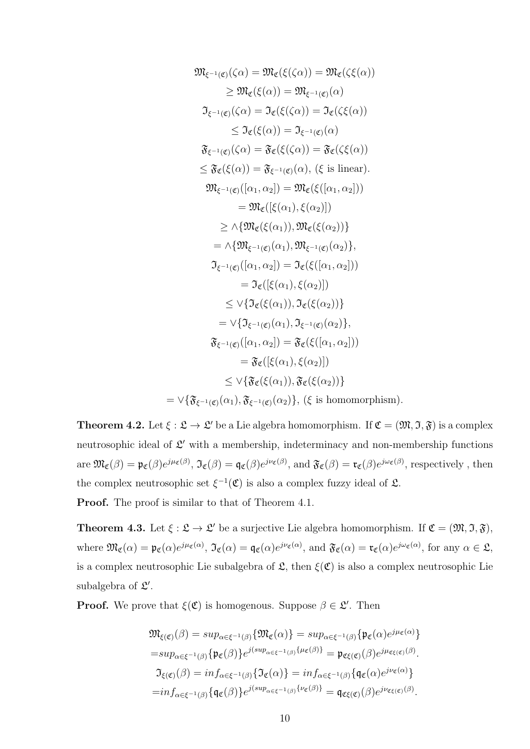$$
\mathfrak{M}_{\xi^{-1}(\mathfrak{C})}(\zeta\alpha) = \mathfrak{M}_{\mathfrak{C}}(\xi(\zeta\alpha)) = \mathfrak{M}_{\mathfrak{C}}(\zeta(\zeta\alpha))
$$
\n
$$
\geq \mathfrak{M}_{\mathfrak{C}}(\xi(\alpha)) = \mathfrak{M}_{\xi^{-1}(\mathfrak{C})}(\alpha)
$$
\n
$$
\mathfrak{I}_{\xi^{-1}(\mathfrak{C})}(\zeta\alpha) = \mathfrak{I}_{\mathfrak{C}}(\xi(\zeta\alpha)) = \mathfrak{I}_{\mathfrak{C}}(\zeta(\zeta\alpha))
$$
\n
$$
\leq \mathfrak{I}_{\mathfrak{C}}(\xi(\alpha)) = \mathfrak{I}_{\xi^{-1}(\mathfrak{C})}(\alpha)
$$
\n
$$
\mathfrak{F}_{\xi^{-1}(\mathfrak{C})}(\zeta\alpha) = \mathfrak{F}_{\xi^{-1}(\mathfrak{C})}(\alpha)
$$
\n
$$
\leq \mathfrak{F}_{\xi}(\xi(\alpha)) = \mathfrak{F}_{\xi^{-1}(\xi)}(\alpha), \quad \text{for } \xi \text{ is linear}.
$$
\n
$$
\mathfrak{M}_{\xi^{-1}(\mathfrak{C})}([\alpha_1, \alpha_2]) = \mathfrak{M}_{\xi}(\xi([\alpha_1, \alpha_2]))
$$
\n
$$
= \mathfrak{M}_{\xi}([\xi(\alpha_1)), \xi(\alpha_2)])
$$
\n
$$
\geq \wedge \{\mathfrak{M}_{\xi^{-1}(\mathfrak{C})}(\alpha_1), \mathfrak{M}_{\xi^{-1}(\mathfrak{C})}(\alpha_2)\},
$$
\n
$$
\mathfrak{I}_{\xi^{-1}(\mathfrak{C})}([\alpha_1, \alpha_2]) = \mathfrak{I}_{\xi}(\xi([\alpha_1, \alpha_2]))
$$
\n
$$
= \mathfrak{I}_{\xi}([\xi(\alpha_1)), \xi(\alpha_2)])
$$
\n
$$
\leq \vee \{\mathfrak{I}_{\xi}(\xi(\alpha_1)), \mathfrak{I}_{\xi^{-1}(\xi)}(\alpha_2)\}
$$
\n
$$
= \mathfrak{I}_{\xi^{-1}(\xi)}([\alpha_1, \beta_2])
$$
\n
$$
\leq \vee \{\mathfrak{I}_{\xi^{-1}
$$

**Theorem 4.2.** Let  $\xi : \mathfrak{L} \to \mathfrak{L}'$  be a Lie algebra homomorphism. If  $\mathfrak{C} = (\mathfrak{M}, \mathfrak{I}, \mathfrak{F})$  is a complex neutrosophic ideal of  $\mathcal{L}'$  with a membership, indeterminacy and non-membership functions  $\text{are } \mathfrak{M}_{\mathfrak{C}}(\beta) = \mathfrak{p}_{\mathfrak{C}}(\beta)e^{j\mu_{\mathfrak{C}}(\beta)}, \mathfrak{I}_{\mathfrak{C}}(\beta) = \mathfrak{q}_{\mathfrak{C}}(\beta)e^{j\nu_{\mathfrak{C}}(\beta)}, \text{ and } \mathfrak{F}_{\mathfrak{C}}(\beta) = \mathfrak{r}_{\mathfrak{C}}(\beta)e^{j\omega_{\mathfrak{C}}(\beta)}, \text{respectively, then}$ the complex neutrosophic set  $\xi^{-1}(\mathfrak{C})$  is also a complex fuzzy ideal of  $\mathfrak{L}$ .

Proof. The proof is similar to that of Theorem 4.1.

**Theorem 4.3.** Let  $\xi : \mathfrak{L} \to \mathfrak{L}'$  be a surjective Lie algebra homomorphism. If  $\mathfrak{C} = (\mathfrak{M}, \mathfrak{I}, \mathfrak{F})$ , where  $\mathfrak{M}_{\mathfrak{C}}(\alpha) = \mathfrak{p}_{\mathfrak{C}}(\alpha)e^{j\mu_{\mathfrak{C}}(\alpha)}$ ,  $\mathfrak{I}_{\mathfrak{C}}(\alpha) = \mathfrak{q}_{\mathfrak{C}}(\alpha)e^{j\nu_{\mathfrak{C}}(\alpha)}$ , and  $\mathfrak{F}_{\mathfrak{C}}(\alpha) = \mathfrak{r}_{\mathfrak{C}}(\alpha)e^{j\omega_{\mathfrak{C}}(\alpha)}$ , for any  $\alpha \in \mathfrak{L}$ , is a complex neutrosophic Lie subalgebra of  $\mathfrak{L}$ , then  $\xi(\mathfrak{C})$  is also a complex neutrosophic Lie subalgebra of  $\mathfrak{L}'$ .

**Proof.** We prove that  $\xi(\mathfrak{C})$  is homogenous. Suppose  $\beta \in \mathfrak{L}'$ . Then

$$
\mathfrak{M}_{\xi(\mathfrak{C})}(\beta) = \sup_{\alpha \in \xi^{-1}(\beta)} \{ \mathfrak{M}_{\mathfrak{C}}(\alpha) \} = \sup_{\alpha \in \xi^{-1}(\beta)} \{ \mathfrak{p}_{\mathfrak{C}}(\alpha) e^{j\mu_{\mathfrak{C}}(\alpha)} \}
$$
\n
$$
= \sup_{\alpha \in \xi^{-1}(\beta)} \{ \mathfrak{p}_{\mathfrak{C}}(\beta) \} e^{j(\sup_{\alpha \in \xi^{-1}(\beta)} \{ \mu_{\mathfrak{C}}(\beta) \} )} = \mathfrak{p}_{\mathfrak{C}\xi(\mathfrak{C})}(\beta) e^{j\mu_{\mathfrak{C}\xi(\mathfrak{C})}(\beta)}.
$$
\n
$$
\mathfrak{I}_{\xi(\mathfrak{C})}(\beta) = \inf_{\alpha \in \xi^{-1}(\beta)} \{ \mathfrak{I}_{\mathfrak{C}}(\alpha) \} = \inf_{\alpha \in \xi^{-1}(\beta)} \{ \mathfrak{q}_{\mathfrak{C}}(\alpha) e^{j\nu_{\mathfrak{C}}(\alpha)} \}
$$
\n
$$
= \inf_{\alpha \in \xi^{-1}(\beta)} \{ \mathfrak{q}_{\mathfrak{C}}(\beta) \} e^{j(\sup_{\alpha \in \xi^{-1}(\beta)} \{ \nu_{\mathfrak{C}}(\beta) \} )} = \mathfrak{q}_{\mathfrak{C}\xi(\mathfrak{C})}(\beta) e^{j\nu_{\mathfrak{C}\xi(\mathfrak{C})}(\beta)}.
$$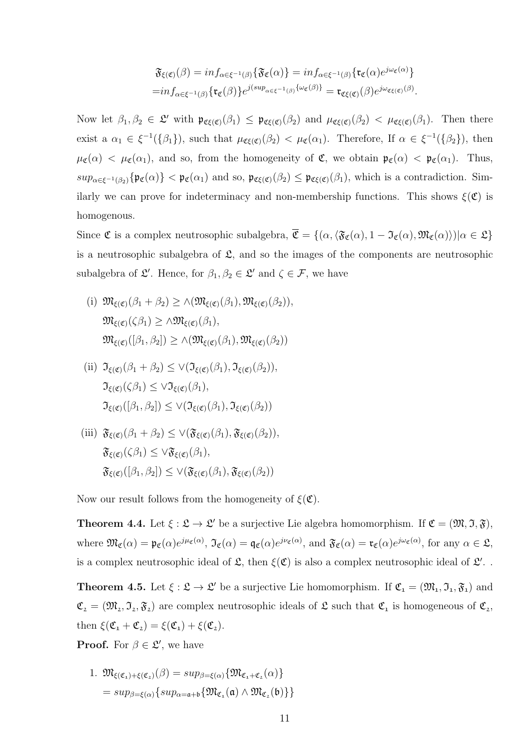$$
\mathfrak{F}_{\xi(\mathfrak{C})}(\beta) = \inf_{\alpha \in \xi^{-1}(\beta)} \{ \mathfrak{F}_{\mathfrak{C}}(\alpha) \} = \inf_{\alpha \in \xi^{-1}(\beta)} \{ \mathfrak{r}_{\mathfrak{C}}(\alpha) e^{j \omega_{\mathfrak{C}}(\alpha)} \}
$$
\n
$$
= \inf_{\alpha \in \xi^{-1}(\beta)} \{ \mathfrak{r}_{\mathfrak{C}}(\beta) \} e^{j(\sup_{\alpha \in \xi^{-1}(\beta)} \{ \omega_{\mathfrak{C}}(\beta) \} } = \mathfrak{r}_{\mathfrak{C}\xi(\mathfrak{C})}(\beta) e^{j \omega_{\mathfrak{C}\xi(\mathfrak{C})}(\beta)}.
$$

Now let  $\beta_1, \beta_2 \in \mathfrak{L}'$  with  $\mathfrak{p}_{\mathfrak{C}(\mathfrak{C})}(\beta_1) \leq \mathfrak{p}_{\mathfrak{C}(\mathfrak{C})}(\beta_2)$  and  $\mu_{\mathfrak{C}(\mathfrak{C})}(\beta_2) < \mu_{\mathfrak{C}(\mathfrak{C})}(\beta_1)$ . Then there exist a  $\alpha_1 \in \xi^{-1}(\{\beta_1\})$ , such that  $\mu_{\mathfrak{CE}(\mathfrak{C})}(\beta_2) < \mu_{\mathfrak{C}}(\alpha_1)$ . Therefore, If  $\alpha \in \xi^{-1}(\{\beta_2\})$ , then  $\mu_{\mathfrak{C}}(\alpha) < \mu_{\mathfrak{C}}(\alpha_1)$ , and so, from the homogeneity of  $\mathfrak{C}$ , we obtain  $\mathfrak{p}_{\mathfrak{C}}(\alpha) < \mathfrak{p}_{\mathfrak{C}}(\alpha_1)$ . Thus,  $sup_{\alpha \in \xi^{-1}(\beta_2)} \{ \mathfrak{p}_{\mathfrak{C}}(\alpha) \} < \mathfrak{p}_{\mathfrak{C}}(\alpha_1)$  and so,  $\mathfrak{p}_{\mathfrak{C}(\mathfrak{C})}(\beta_2) \leq \mathfrak{p}_{\mathfrak{C}(\mathfrak{C})}(\beta_1)$ , which is a contradiction. Similarly we can prove for indeterminacy and non-membership functions. This shows  $\xi(\mathfrak{C})$  is homogenous.

Since  $\mathfrak C$  is a complex neutrosophic subalgebra,  $\overline{\mathfrak C} = \{(\alpha, \langle \mathfrak{F}_{\mathfrak C}(\alpha), 1 - \mathfrak{I}_{\mathfrak C}(\alpha), \mathfrak{M}_{\mathfrak C}(\alpha) \rangle)| \alpha \in \mathfrak L\}$ is a neutrosophic subalgebra of  $\mathfrak{L}$ , and so the images of the components are neutrosophic subalgebra of  $\mathfrak{L}'$ . Hence, for  $\beta_1, \beta_2 \in \mathfrak{L}'$  and  $\zeta \in \mathcal{F}$ , we have

- (i)  $\mathfrak{M}_{\epsilon(\mathfrak{C})}(\beta_1 + \beta_2) > \wedge (\mathfrak{M}_{\epsilon(\mathfrak{C})}(\beta_1), \mathfrak{M}_{\epsilon(\mathfrak{C})}(\beta_2)),$  $\mathfrak{M}_{\xi(\mathfrak{C})}(\zeta\beta_1) \geq \wedge \mathfrak{M}_{\xi(\mathfrak{C})}(\beta_1),$  $\mathfrak{M}_{\epsilon(\mathfrak{C})}([\beta_1,\beta_2]) > \wedge (\mathfrak{M}_{\epsilon(\mathfrak{C})}(\beta_1),\mathfrak{M}_{\epsilon(\mathfrak{C})}(\beta_2))$
- (ii)  $\mathfrak{I}_{\epsilon(\mathfrak{G})}(\beta_1 + \beta_2) \leq \vee (\mathfrak{I}_{\epsilon(\mathfrak{G})}(\beta_1), \mathfrak{I}_{\epsilon(\mathfrak{G})}(\beta_2)),$  $\mathfrak{I}_{\epsilon(\mathfrak{G})}(\zeta\beta_1) \leq \sqrt{\mathfrak{I}_{\epsilon(\mathfrak{G})}}(\beta_1),$  $\mathfrak{I}_{\varepsilon(\mathfrak{C})}([\beta_1,\beta_2]) \leq \vee (\mathfrak{I}_{\varepsilon(\mathfrak{C})}(\beta_1),\mathfrak{I}_{\varepsilon(\mathfrak{C})}(\beta_2))$
- (iii)  $\mathfrak{F}_{\xi(\mathfrak{C})}(\beta_1 + \beta_2) \leq \vee (\mathfrak{F}_{\xi(\mathfrak{C})}(\beta_1), \mathfrak{F}_{\xi(\mathfrak{C})}(\beta_2)),$  $\mathfrak{F}_{\xi(\mathfrak{C})}(\zeta\beta_1) \leq \vee \mathfrak{F}_{\xi(\mathfrak{C})}(\beta_1),$  $\mathfrak{F}_{\xi(\mathfrak{C})}([\beta_1,\beta_2]) \leq \vee (\mathfrak{F}_{\xi(\mathfrak{C})}(\beta_1),\mathfrak{F}_{\xi(\mathfrak{C})}(\beta_2))$

Now our result follows from the homogeneity of  $\xi(\mathfrak{C})$ .

**Theorem 4.4.** Let  $\xi : \mathfrak{L} \to \mathfrak{L}'$  be a surjective Lie algebra homomorphism. If  $\mathfrak{C} = (\mathfrak{M}, \mathfrak{I}, \mathfrak{F})$ , where  $\mathfrak{M}_{\mathfrak{C}}(\alpha) = \mathfrak{p}_{\mathfrak{C}}(\alpha)e^{j\mu_{\mathfrak{C}}(\alpha)}$ ,  $\mathfrak{I}_{\mathfrak{C}}(\alpha) = \mathfrak{q}_{\mathfrak{C}}(\alpha)e^{j\nu_{\mathfrak{C}}(\alpha)}$ , and  $\mathfrak{F}_{\mathfrak{C}}(\alpha) = \mathfrak{r}_{\mathfrak{C}}(\alpha)e^{j\omega_{\mathfrak{C}}(\alpha)}$ , for any  $\alpha \in \mathfrak{L}$ , is a complex neutrosophic ideal of  $\mathfrak{L}$ , then  $\xi(\mathfrak{C})$  is also a complex neutrosophic ideal of  $\mathfrak{L}'$ .

**Theorem 4.5.** Let  $\xi : \mathfrak{L} \to \mathfrak{L}'$  be a surjective Lie homomorphism. If  $\mathfrak{C}_1 = (\mathfrak{M}_1, \mathfrak{I}_1, \mathfrak{F}_1)$  and  $\mathfrak{C}_2 = (\mathfrak{M}_2, \mathfrak{I}_2, \mathfrak{F}_2)$  are complex neutrosophic ideals of  $\mathfrak{L}$  such that  $\mathfrak{C}_1$  is homogeneous of  $\mathfrak{C}_2$ , then  $\xi(\mathfrak{C}_1 + \mathfrak{C}_2) = \xi(\mathfrak{C}_1) + \xi(\mathfrak{C}_2).$ 

**Proof.** For  $\beta \in \mathcal{L}'$ , we have

1. 
$$
\mathfrak{M}_{\xi(\mathfrak{C}_1)+\xi(\mathfrak{C}_2)}(\beta) = \sup_{\beta=\xi(\alpha)} \{\mathfrak{M}_{\mathfrak{C}_1+\mathfrak{C}_2}(\alpha)\}
$$
  
=  $\sup_{\beta=\xi(\alpha)} \{ \sup_{\alpha=\mathfrak{a}+\mathfrak{b}} \{ \mathfrak{M}_{\mathfrak{C}_1}(\mathfrak{a}) \wedge \mathfrak{M}_{\mathfrak{C}_2}(\mathfrak{b}) \} \}$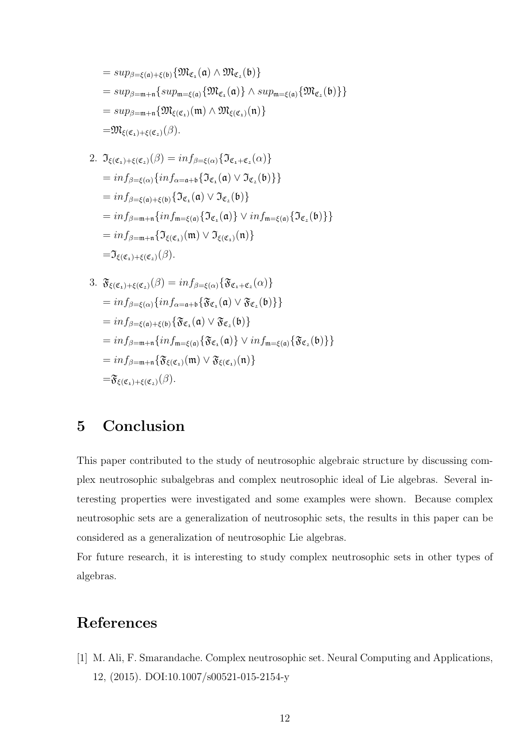$$
= sup_{\beta=\xi(\mathfrak{a})+\xi(\mathfrak{b})}\{\mathfrak{M}_{\mathfrak{C}_1}(\mathfrak{a})\wedge \mathfrak{M}_{\mathfrak{C}_2}(\mathfrak{b})\}
$$
  
\n
$$
= sup_{\beta=\mathfrak{m}+\mathfrak{n}}\{sup_{\mathfrak{m}=\xi(\mathfrak{a})}\{\mathfrak{M}_{\mathfrak{C}_1}(\mathfrak{a})\}\wedge sup_{\mathfrak{m}=\xi(\mathfrak{a})}\{\mathfrak{M}_{\mathfrak{C}_2}(\mathfrak{b})\}\}
$$
  
\n
$$
= sup_{\beta=\mathfrak{m}+\mathfrak{n}}\{\mathfrak{M}_{\xi(\mathfrak{C}_1)}(\mathfrak{m})\wedge \mathfrak{M}_{\xi(\mathfrak{C}_1)}(\mathfrak{n})\}
$$
  
\n
$$
= \mathfrak{M}_{\xi(\mathfrak{C}_1)+\xi(\mathfrak{C}_2)}(\beta).
$$

2. 
$$
\mathfrak{I}_{\xi(\mathfrak{C}_{1})+\xi(\mathfrak{C}_{2})}(\beta) = \inf_{\beta=\xi(\alpha)} \{\mathfrak{I}_{\mathfrak{C}_{1}+\mathfrak{C}_{2}}(\alpha)\}
$$
  
\n
$$
= \inf_{\beta=\xi(\alpha)} \{\inf_{\alpha=a+b} \{\mathfrak{I}_{\mathfrak{C}_{1}}(\mathfrak{a}) \vee \mathfrak{I}_{\mathfrak{C}_{2}}(\mathfrak{b})\}\}
$$
  
\n
$$
= \inf_{\beta=\xi(\mathfrak{a})+\xi(\mathfrak{b})} \{\mathfrak{I}_{\mathfrak{C}_{1}}(\mathfrak{a}) \vee \mathfrak{I}_{\mathfrak{C}_{2}}(\mathfrak{b})\}
$$
  
\n
$$
= \inf_{\beta=m+n} \{\inf_{m=\xi(\mathfrak{a})} \{\mathfrak{I}_{\mathfrak{C}_{1}}(\mathfrak{a})\} \vee \inf_{m=\xi(\mathfrak{a})} \{\mathfrak{I}_{\mathfrak{C}_{2}}(\mathfrak{b})\}\}
$$
  
\n
$$
= \inf_{\beta=m+n} \{\mathfrak{I}_{\xi(\mathfrak{C}_{1})}(\mathfrak{m}) \vee \mathfrak{I}_{\xi(\mathfrak{C}_{1})}(\mathfrak{n})\}
$$
  
\n
$$
= \mathfrak{I}_{\xi(\mathfrak{C}_{1})+\xi(\mathfrak{C}_{2})}(\beta).
$$

3. 
$$
\mathfrak{F}_{\xi(\mathfrak{C}_{1})+\xi(\mathfrak{C}_{2})}(\beta) = inf_{\beta=\xi(\alpha)} {\mathfrak{F}_{\mathfrak{C}_{1}+\mathfrak{C}_{2}}(\alpha)}
$$
  
\n
$$
= inf_{\beta=\xi(\alpha)} {inf_{\alpha=a+b} {\mathfrak{F}_{\mathfrak{C}_{1}}(a) \vee \mathfrak{F}_{\mathfrak{C}_{2}}(b)} }
$$
  
\n
$$
= inf_{\beta=\xi(a)+\xi(b)} {\mathfrak{F}_{\mathfrak{C}_{1}}(a) \vee \mathfrak{F}_{\mathfrak{C}_{2}}(b)}
$$
  
\n
$$
= inf_{\beta=m+n} {inf_{m=\xi(a)} {\mathfrak{F}_{\mathfrak{C}_{1}}(a)} \vee inf_{m=\xi(a)} {\mathfrak{F}_{\mathfrak{C}_{2}}(b)} }
$$
  
\n
$$
= inf_{\beta=m+n} {\mathfrak{F}_{\xi(\mathfrak{C}_{1})}(m) \vee \mathfrak{F}_{\xi(\mathfrak{C}_{1})}(n)}
$$
  
\n
$$
= \mathfrak{F}_{\xi(\mathfrak{C}_{1})+\xi(\mathfrak{C}_{2})}(\beta).
$$

## 5 Conclusion

This paper contributed to the study of neutrosophic algebraic structure by discussing complex neutrosophic subalgebras and complex neutrosophic ideal of Lie algebras. Several interesting properties were investigated and some examples were shown. Because complex neutrosophic sets are a generalization of neutrosophic sets, the results in this paper can be considered as a generalization of neutrosophic Lie algebras.

For future research, it is interesting to study complex neutrosophic sets in other types of algebras.

# References

[1] M. Ali, F. Smarandache. Complex neutrosophic set. Neural Computing and Applications, 12, (2015). DOI:10.1007/s00521-015-2154-y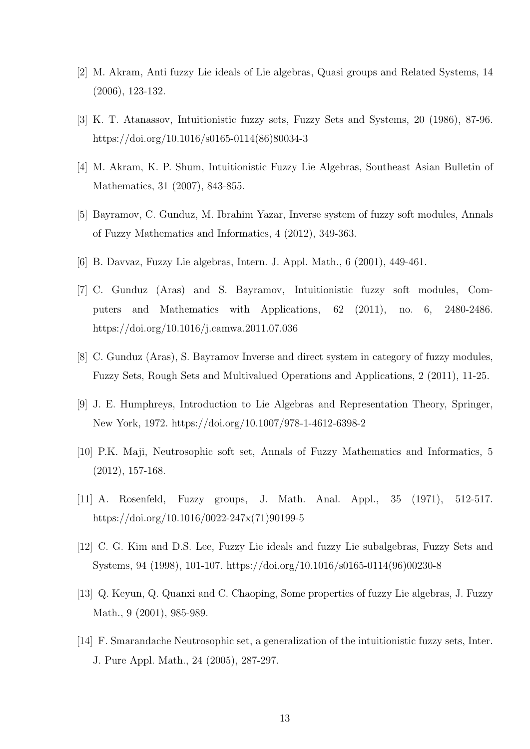- [2] M. Akram, Anti fuzzy Lie ideals of Lie algebras, Quasi groups and Related Systems, 14 (2006), 123-132.
- [3] K. T. Atanassov, Intuitionistic fuzzy sets, Fuzzy Sets and Systems, 20 (1986), 87-96. https://doi.org/10.1016/s0165-0114(86)80034-3
- [4] M. Akram, K. P. Shum, Intuitionistic Fuzzy Lie Algebras, Southeast Asian Bulletin of Mathematics, 31 (2007), 843-855.
- [5] Bayramov, C. Gunduz, M. Ibrahim Yazar, Inverse system of fuzzy soft modules, Annals of Fuzzy Mathematics and Informatics, 4 (2012), 349-363.
- [6] B. Davvaz, Fuzzy Lie algebras, Intern. J. Appl. Math., 6 (2001), 449-461.
- [7] C. Gunduz (Aras) and S. Bayramov, Intuitionistic fuzzy soft modules, Computers and Mathematics with Applications, 62 (2011), no. 6, 2480-2486. https://doi.org/10.1016/j.camwa.2011.07.036
- [8] C. Gunduz (Aras), S. Bayramov Inverse and direct system in category of fuzzy modules, Fuzzy Sets, Rough Sets and Multivalued Operations and Applications, 2 (2011), 11-25.
- [9] J. E. Humphreys, Introduction to Lie Algebras and Representation Theory, Springer, New York, 1972. https://doi.org/10.1007/978-1-4612-6398-2
- [10] P.K. Maji, Neutrosophic soft set, Annals of Fuzzy Mathematics and Informatics, 5 (2012), 157-168.
- [11] A. Rosenfeld, Fuzzy groups, J. Math. Anal. Appl., 35 (1971), 512-517. https://doi.org/10.1016/0022-247x(71)90199-5
- [12] C. G. Kim and D.S. Lee, Fuzzy Lie ideals and fuzzy Lie subalgebras, Fuzzy Sets and Systems, 94 (1998), 101-107. https://doi.org/10.1016/s0165-0114(96)00230-8
- [13] Q. Keyun, Q. Quanxi and C. Chaoping, Some properties of fuzzy Lie algebras, J. Fuzzy Math., 9 (2001), 985-989.
- [14] F. Smarandache Neutrosophic set, a generalization of the intuitionistic fuzzy sets, Inter. J. Pure Appl. Math., 24 (2005), 287-297.